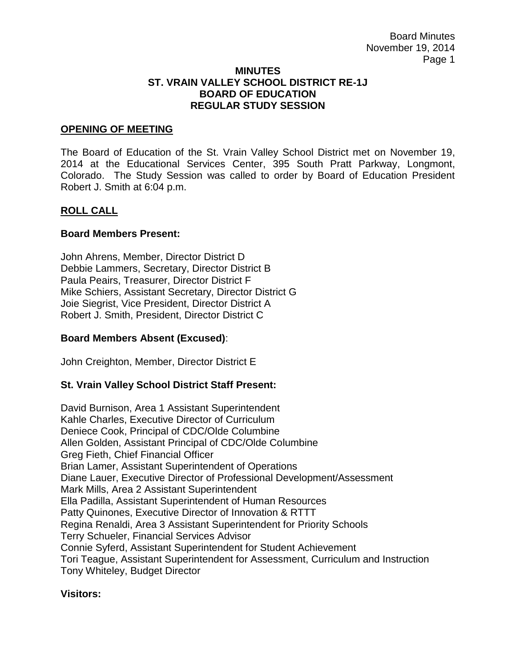#### **MINUTES ST. VRAIN VALLEY SCHOOL DISTRICT RE-1J BOARD OF EDUCATION REGULAR STUDY SESSION**

### **OPENING OF MEETING**

The Board of Education of the St. Vrain Valley School District met on November 19, 2014 at the Educational Services Center, 395 South Pratt Parkway, Longmont, Colorado. The Study Session was called to order by Board of Education President Robert J. Smith at 6:04 p.m.

## **ROLL CALL**

### **Board Members Present:**

John Ahrens, Member, Director District D Debbie Lammers, Secretary, Director District B Paula Peairs, Treasurer, Director District F Mike Schiers, Assistant Secretary, Director District G Joie Siegrist, Vice President, Director District A Robert J. Smith, President, Director District C

## **Board Members Absent (Excused)**:

John Creighton, Member, Director District E

## **St. Vrain Valley School District Staff Present:**

David Burnison, Area 1 Assistant Superintendent Kahle Charles, Executive Director of Curriculum Deniece Cook, Principal of CDC/Olde Columbine Allen Golden, Assistant Principal of CDC/Olde Columbine Greg Fieth, Chief Financial Officer Brian Lamer, Assistant Superintendent of Operations Diane Lauer, Executive Director of Professional Development/Assessment Mark Mills, Area 2 Assistant Superintendent Ella Padilla, Assistant Superintendent of Human Resources Patty Quinones, Executive Director of Innovation & RTTT Regina Renaldi, Area 3 Assistant Superintendent for Priority Schools Terry Schueler, Financial Services Advisor Connie Syferd, Assistant Superintendent for Student Achievement Tori Teague, Assistant Superintendent for Assessment, Curriculum and Instruction Tony Whiteley, Budget Director

#### **Visitors:**